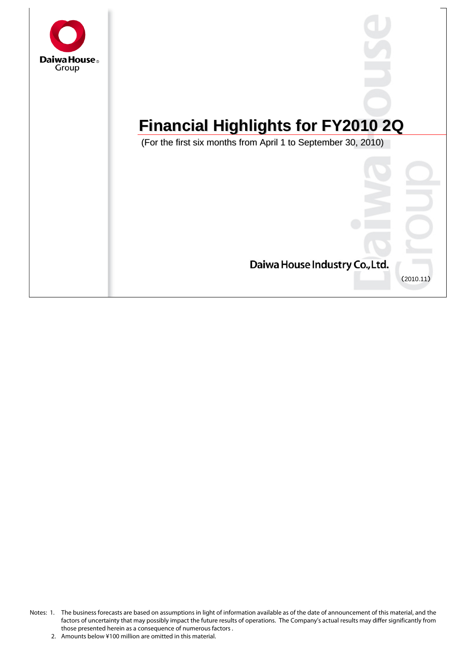

# **Financial Highlights for FY2010 2Q**

(For the first six months from April 1 to September 30, 2010)



Notes: 1. The business forecasts are based on assumptions in light of information available as of the date of announcement of this material, and the factors of uncertainty that may possibly impact the future results of operations. The Company's actual results may differ significantly from those presented herein as a consequence of numerous factors .

<sup>2.</sup> Amounts below ¥100 million are omitted in this material.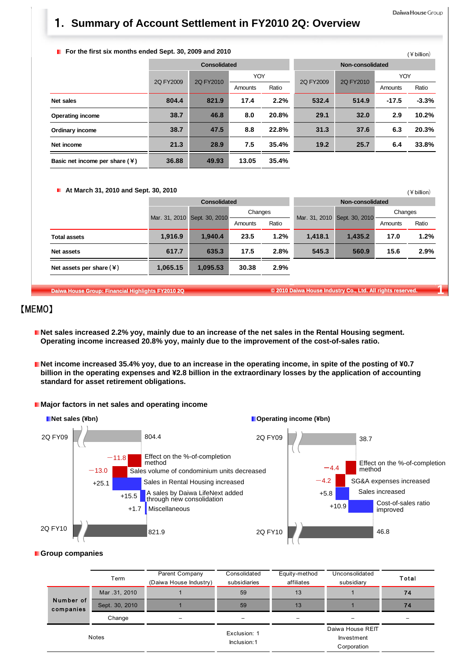#### Daiwa House Group

 $(4$  hillion)

## 1**. Summary of Account Settlement in FY2010 2Q: Overview**

#### **F** For the first six months ended Sept. 30, 2009 and 2010

|                                  |           |              |         |       |                  |           |         | $T$ $\sim$ $T$ $\sim$ $T$ |
|----------------------------------|-----------|--------------|---------|-------|------------------|-----------|---------|---------------------------|
|                                  |           | Consolidated |         |       | Non-consolidated |           |         |                           |
|                                  | 2Q FY2009 | 2Q FY2010    | YOY     |       | 2Q FY2009        | 2Q FY2010 | YOY     |                           |
|                                  |           |              | Amounts | Ratio |                  |           | Amounts | Ratio                     |
| Net sales                        | 804.4     | 821.9        | 17.4    | 2.2%  | 532.4            | 514.9     | $-17.5$ | $-3.3%$                   |
| <b>Operating income</b>          | 38.7      | 46.8         | 8.0     | 20.8% | 29.1             | 32.0      | 2.9     | 10.2%                     |
| Ordinary income                  | 38.7      | 47.5         | 8.8     | 22.8% | 31.3             | 37.6      | 6.3     | 20.3%                     |
| Net income                       | 21.3      | 28.9         | 7.5     | 35.4% | 19.2             | 25.7      | 6.4     | 33.8%                     |
| Basic net income per share $(4)$ | 36.88     | 49.93        | 13.05   | 35.4% |                  |           |         |                           |

#### **At March 31, 2010 and Sept. 30, 2010**

| <b>L</b> At March 31, 2010 and Sept. 30, 2010 |          |                              | (¥ billion) |       |                              |         |         |       |  |
|-----------------------------------------------|----------|------------------------------|-------------|-------|------------------------------|---------|---------|-------|--|
|                                               |          | <b>Consolidated</b>          |             |       | Non-consolidated             |         |         |       |  |
|                                               |          | Mar. 31, 2010 Sept. 30, 2010 | Changes     |       | Mar. 31, 2010 Sept. 30, 2010 |         | Changes |       |  |
|                                               |          |                              | Amounts     | Ratio |                              |         | Amounts | Ratio |  |
| <b>Total assets</b>                           | 1,916.9  | 1.940.4                      | 23.5        | 1.2%  | 1.418.1                      | 1.435.2 | 17.0    | 1.2%  |  |
| Net assets                                    | 617.7    | 635.3                        | 17.5        | 2.8%  | 545.3                        | 560.9   | 15.6    | 2.9%  |  |
| Net assets per share $(\frac{1}{2})$          | 1,065.15 | 1,095.53                     | 30.38       | 2.9%  |                              |         |         |       |  |

**Daiwa House Group: Financial Highlights FY2010 2Q © 2010 Daiwa House Industry Co., Ltd. All rights reserved. 1**

## 【MEMO】

- **Net sales increased 2.2% yoy, mainly due to an increase of the net sales in the Rental Housing segment. Operating income increased 20.8% yoy, mainly due to the improvement of the cost-of-sales ratio.**
- Net income increased 35.4% yoy, due to an increase in the operating income, in spite of the posting of ¥0.7 **billion in the operating expenses and ¥2.8 billion in the extraordinary losses by the application of accounting standard for asset retirement obligations.**





#### **Group companies**

|                        | Term           | Parent Company<br>(Daiwa House Industry) | Consolidated<br>subsidiaries | Equity-method<br>affiliates | Unconsolidated<br>subsidiary                  | Total |
|------------------------|----------------|------------------------------------------|------------------------------|-----------------------------|-----------------------------------------------|-------|
|                        | Mar .31, 2010  |                                          | 59                           | 13                          |                                               | 74    |
| Number of<br>companies | Sept. 30, 2010 |                                          | 59                           | 13                          |                                               | 74    |
|                        | Change         |                                          |                              | $\overline{\phantom{0}}$    |                                               |       |
|                        | Notes          |                                          | Exclusion: 1<br>Inclusion: 1 |                             | Daiwa House REIT<br>Investment<br>Corporation |       |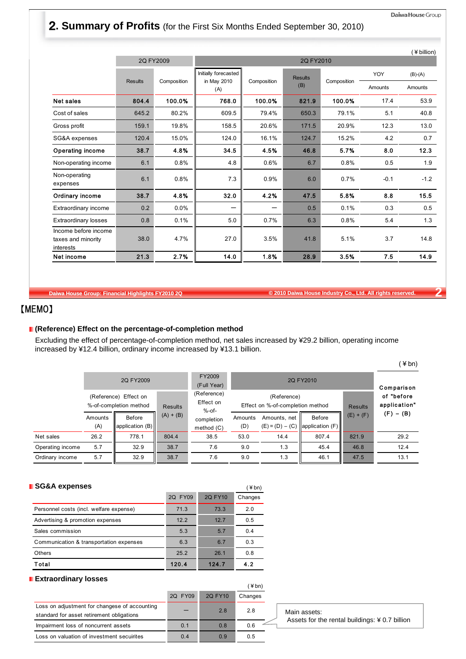## 2**. Summary of Profits** (for the First Six Months Ended September 30, 2010)

|                                                         |                |             |                                     |             |                |             |            | (¥ billion) |
|---------------------------------------------------------|----------------|-------------|-------------------------------------|-------------|----------------|-------------|------------|-------------|
|                                                         |                | 2Q FY2009   |                                     |             | 2Q FY2010      |             |            |             |
|                                                         | <b>Results</b> | Composition | Initially forecasted<br>in May 2010 | Composition | <b>Results</b> | Composition | <b>YOY</b> | $(B)-(A)$   |
|                                                         |                |             | (A)                                 |             | (B)            |             | Amounts    | Amounts     |
| <b>Net sales</b>                                        | 804.4          | 100.0%      | 768.0                               | 100.0%      | 821.9          | 100.0%      | 17.4       | 53.9        |
| Cost of sales                                           | 645.2          | 80.2%       | 609.5                               | 79.4%       | 650.3          | 79.1%       | 5.1        | 40.8        |
| Gross profit                                            | 159.1          | 19.8%       | 158.5                               | 20.6%       | 171.5          | 20.9%       | 12.3       | 13.0        |
| SG&A expenses                                           | 120.4          | 15.0%       | 124.0                               | 16.1%       | 124.7          | 15.2%       | 4.2        | 0.7         |
| <b>Operating income</b>                                 | 38.7           | 4.8%        | 34.5                                | 4.5%        | 46.8           | 5.7%        | 8.0        | 12.3        |
| Non-operating income                                    | 6.1            | 0.8%        | 4.8                                 | 0.6%        | 6.7            | 0.8%        | 0.5        | 1.9         |
| Non-operating<br>expenses                               | 6.1            | 0.8%        | 7.3                                 | 0.9%        | 6.0            | 0.7%        | $-0.1$     | $-1.2$      |
| Ordinary income                                         | 38.7           | 4.8%        | 32.0                                | 4.2%        | 47.5           | 5.8%        | 8.8        | 15.5        |
| Extraordinary income                                    | 0.2            | $0.0\%$     |                                     |             | 0.5            | 0.1%        | 0.3        | 0.5         |
| <b>Extraordinary losses</b>                             | 0.8            | 0.1%        | 5.0                                 | 0.7%        | 6.3            | 0.8%        | 5.4        | 1.3         |
| Income before income<br>taxes and minority<br>interests | 38.0           | 4.7%        | 27.0                                | 3.5%        | 41.8           | 5.1%        | 3.7        | 14.8        |
| Net income                                              | 21.3           | 2.7%        | 14.0                                | 1.8%        | 28.9           | 3.5%        | 7.5        | 14.9        |

**Daiwa House Group: Financial Highlights FY2010 2Q © 2010 Daiwa House Industry Co., Ltd. All rights reserved. 2**

## 【MEMO】

#### **(Reference) Effect on the percentage-of-completion method**

Excluding the effect of percentage-of-completion method, net sales increased by ¥29.2 billion, operating income increased by ¥12.4 billion, ordinary income increased by ¥13.1 billion.

|                  |                |                                                 |                |                                      |                                                 |                                   |                           |                            | $\angle$ bn) |
|------------------|----------------|-------------------------------------------------|----------------|--------------------------------------|-------------------------------------------------|-----------------------------------|---------------------------|----------------------------|--------------|
|                  |                | 2Q FY2009                                       |                | FY2009<br>(Full Year)                |                                                 |                                   | Comparison                |                            |              |
|                  |                | (Reference) Effect on<br>%-of-completion method | <b>Results</b> | (Reference)<br>Effect on<br>$%$ -of- | (Reference)<br>Effect on %-of-completion method |                                   | <b>Results</b>            | of "before<br>application" |              |
|                  | Amounts<br>(A) | Before<br>application (B)                       | $(A) + (B)$    | completion<br>method (C)             | Amounts<br>(D)                                  | Amounts, net<br>$(E) = (D) - (C)$ | Before<br>application (F) | $(E) + (F)$                | $(F) - (B)$  |
| Net sales        | 26.2           | 778.1                                           | 804.4          | 38.5                                 | 53.0                                            | 14.4                              | 807.4                     | 821.9                      | 29.2         |
| Operating income | 5.7            | 32.9                                            | 38.7           | 7.6                                  | 9.0                                             | 1.3                               | 45.4                      | 46.8                       | 12.4         |
| Ordinary income  | 5.7            | 32.9                                            | 38.7           | 7.6                                  | 9.0                                             | 1.3                               | 46.1                      | 47.5                       | 13.1         |

| <b>SG&amp;A expenses</b>                |         |         | (¥bn)   |
|-----------------------------------------|---------|---------|---------|
|                                         | 2Q FY09 | 2Q FY10 | Changes |
| Personnel costs (incl. welfare expense) | 71.3    | 73.3    | 2.0     |
| Advertising & promotion expenses        | 12.2    | 12.7    | 0.5     |
| Sales commission                        | 5.3     | 5.7     | 0.4     |
| Communication & transportation expenses | 6.3     | 6.7     | 0.3     |
| <b>Others</b>                           | 25.2    | 26.1    | 0.8     |
| Total                                   | 120.4   | 124.7   | 4.2     |

#### **Extraordinary losses**

|                                                                                            |         |         | (¥bn)   |
|--------------------------------------------------------------------------------------------|---------|---------|---------|
|                                                                                            | 2Q FY09 | 2Q FY10 | Changes |
| Loss on adjustment for changese of accounting<br>standard for asset retirement obligations |         | 2.8     | 2.8     |
| Impairment loss of noncurrent assets                                                       | 0.1     | 0.8     | 0.6     |
| Loss on valuation of investment secuirites                                                 | 0.4     | 0.9     | 0.5     |

Main assets: Assets for the rental buildings: ¥ 0.7 billion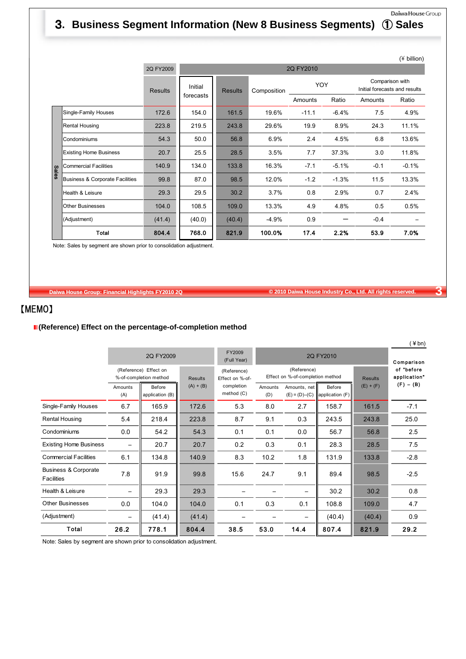## Daiwa House Group 3**. Business Segment Information (New 8 Business Segments)** ① **Sales**

|              |                                 |                |           |                |             |         |         |                                                  | (¥ billion) |  |  |  |
|--------------|---------------------------------|----------------|-----------|----------------|-------------|---------|---------|--------------------------------------------------|-------------|--|--|--|
|              |                                 | 2Q FY2009      |           | 2Q FY2010      |             |         |         |                                                  |             |  |  |  |
|              |                                 | <b>Results</b> | Initial   | <b>Results</b> | Composition | YOY     |         | Comparison with<br>Initial forecasts and results |             |  |  |  |
|              |                                 |                | forecasts |                |             | Amounts | Ratio   | Amounts                                          | Ratio       |  |  |  |
|              | Single-Family Houses            | 172.6          | 154.0     | 161.5          | 19.6%       | $-11.1$ | $-6.4%$ | 7.5                                              | 4.9%        |  |  |  |
|              | <b>Rental Housing</b>           | 223.8          | 219.5     | 243.8          | 29.6%       | 19.9    | 8.9%    | 24.3                                             | 11.1%       |  |  |  |
|              | Condominiums                    | 54.3           | 50.0      | 56.8           | 6.9%        | 2.4     | 4.5%    | 6.8                                              | 13.6%       |  |  |  |
|              | <b>Existing Home Business</b>   | 20.7           | 25.5      | 28.5           | 3.5%        | 7.7     | 37.3%   | 3.0                                              | 11.8%       |  |  |  |
| <b>Sales</b> | <b>Commercial Facilities</b>    | 140.9          | 134.0     | 133.8          | 16.3%       | $-7.1$  | $-5.1%$ | $-0.1$                                           | $-0.1%$     |  |  |  |
|              | Business & Corporate Facilities | 99.8           | 87.0      | 98.5           | 12.0%       | $-1.2$  | $-1.3%$ | 11.5                                             | 13.3%       |  |  |  |
|              | Health & Leisure                | 29.3           | 29.5      | 30.2           | 3.7%        | 0.8     | 2.9%    | 0.7                                              | 2.4%        |  |  |  |
|              | <b>Other Businesses</b>         | 104.0          | 108.5     | 109.0          | 13.3%       | 4.9     | 4.8%    | 0.5                                              | 0.5%        |  |  |  |
|              | (Adjustment)                    | (41.4)         | (40.0)    | (40.4)         | $-4.9%$     | 0.9     |         | $-0.4$                                           |             |  |  |  |
|              | Total                           | 804.4          | 768.0     | 821.9          | 100.0%      | 17.4    | 2.2%    | 53.9                                             | 7.0%        |  |  |  |

Note: Sales by segment are shown prior to consolidation adjustment.

**Daiwa House Group: Financial Highlights FY2010 2Q © 2010 Daiwa House Industry Co., Ltd. All rights reserved. 3**

 $(\lambda)$ 

## 【MEMO】

#### **(Reference) Effect on the percentage-of-completion method**

|                                    |                |                                                 |                |                                |                                                 |                                   |                           |                            | ∓ DII)      |
|------------------------------------|----------------|-------------------------------------------------|----------------|--------------------------------|-------------------------------------------------|-----------------------------------|---------------------------|----------------------------|-------------|
|                                    |                | 2Q FY2009                                       |                | FY2009<br>(Full Year)          | 2Q FY2010                                       |                                   |                           |                            | Comparison  |
|                                    |                | (Reference) Effect on<br>%-of-completion method | <b>Results</b> | (Reference)<br>Effect on %-of- | (Reference)<br>Effect on %-of-completion method |                                   | <b>Results</b>            | of "before<br>application" |             |
|                                    | Amounts<br>(A) | Before<br>application (B)                       | $(A) + (B)$    | completion<br>method (C)       | Amounts<br>(D)                                  | Amounts, net<br>$(E) = (D) - (C)$ | Before<br>application (F) | $(E) + (F)$                | $(F) - (B)$ |
| Single-Family Houses               | 6.7            | 165.9                                           | 172.6          | 5.3                            | 8.0                                             | 2.7                               | 158.7                     | 161.5                      | $-7.1$      |
| Rental Housing                     | 5.4            | 218.4                                           | 223.8          | 8.7                            | 9.1                                             | 0.3                               | 243.5                     | 243.8                      | 25.0        |
| Condominiums                       | 0.0            | 54.2                                            | 54.3           | 0.1                            | 0.1                                             | 0.0                               | 56.7                      | 56.8                       | 2.5         |
| <b>Existing Home Business</b>      |                | 20.7                                            | 20.7           | 0.2                            | 0.3                                             | 0.1                               | 28.3                      | 28.5                       | 7.5         |
| <b>Commercial Facilities</b>       | 6.1            | 134.8                                           | 140.9          | 8.3                            | 10.2                                            | 1.8                               | 131.9                     | 133.8                      | $-2.8$      |
| Business & Corporate<br>Facilities | 7.8            | 91.9                                            | 99.8           | 15.6                           | 24.7                                            | 9.1                               | 89.4                      | 98.5                       | $-2.5$      |
| Health & Leisure                   |                | 29.3                                            | 29.3           |                                |                                                 |                                   | 30.2                      | 30.2                       | 0.8         |
| <b>Other Businesses</b>            | 0.0            | 104.0                                           | 104.0          | 0.1                            | 0.3                                             | 0.1                               | 108.8                     | 109.0                      | 4.7         |
| (Adjustment)                       |                | (41.4)                                          | (41.4)         |                                |                                                 |                                   | (40.4)                    | (40.4)                     | 0.9         |
| Total                              | 26.2           | 778.1                                           | 804.4          | 38.5                           | 53.0                                            | 14.4                              | 807.4                     | 821.9                      | 29.2        |

Note: Sales by segment are shown prior to consolidation adjustment.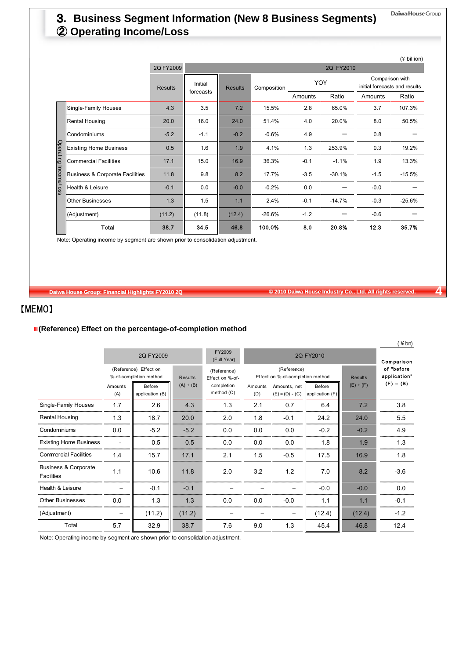## 3**. Business Segment Information (New 8 Business Segments)** ② **Operating Income/Loss**

|             |                                            |                |           |                |             |            |           |                                                  | (¥ billion) |
|-------------|--------------------------------------------|----------------|-----------|----------------|-------------|------------|-----------|--------------------------------------------------|-------------|
|             |                                            | 2Q FY2009      |           |                |             |            | 2Q FY2010 |                                                  |             |
|             |                                            | <b>Results</b> | Initial   | <b>Results</b> | Composition | <b>YOY</b> |           | Comparison with<br>initial forecasts and results |             |
|             |                                            |                | forecasts |                |             | Amounts    | Ratio     | Amounts                                          | Ratio       |
|             | Single-Family Houses                       | 4.3            | 3.5       | 7.2            | 15.5%       | 2.8        | 65.0%     | 3.7                                              | 107.3%      |
|             | Rental Housing                             | 20.0           | 16.0      | 24.0           | 51.4%       | 4.0        | 20.0%     | 8.0                                              | 50.5%       |
|             | Condominiums                               | $-5.2$         | $-1.1$    | $-0.2$         | $-0.6%$     | 4.9        |           | 0.8                                              |             |
| Operating   | <b>Existing Home Business</b>              | 0.5            | 1.6       | 1.9            | 4.1%        | 1.3        | 253.9%    | 0.3                                              | 19.2%       |
|             | <b>Commercial Facilities</b>               | 17.1           | 15.0      | 16.9           | 36.3%       | $-0.1$     | $-1.1%$   | 1.9                                              | 13.3%       |
| Income/loss | <b>Business &amp; Corporate Facilities</b> | 11.8           | 9.8       | 8.2            | 17.7%       | $-3.5$     | $-30.1%$  | $-1.5$                                           | $-15.5%$    |
|             | Health & Leisure                           | $-0.1$         | 0.0       | $-0.0$         | $-0.2%$     | 0.0        |           | $-0.0$                                           |             |
|             | <b>Other Businesses</b>                    | 1.3            | 1.5       | 1.1            | 2.4%        | $-0.1$     | $-14.7%$  | $-0.3$                                           | $-25.6%$    |
|             | (Adjustment)                               | (11.2)         | (11.8)    | (12.4)         | $-26.6%$    | $-1.2$     |           | $-0.6$                                           |             |
|             | Total                                      | 38.7           | 34.5      | 46.8           | 100.0%      | 8.0        | 20.8%     | 12.3                                             | 35.7%       |

Note: Operating income by segment are shown prior to consolidation adjustment.

**Daiwa House Group: Financial Highlights FY2010 2Q © 2010 Daiwa House Industry Co., Ltd. All rights reserved. 4**

 $(Y<sub>b</sub>)$ 

## 【MEMO】

#### **(Reference) Effect on the percentage-of-completion method**

|                                                      | 2Q FY2009<br>(Reference) Effect on |                           |                | FY2009<br>(Full Year)<br>(Reference) |                | $($ + $\cup$ $\cup$<br>Comparison<br>of "before |                           |                |              |
|------------------------------------------------------|------------------------------------|---------------------------|----------------|--------------------------------------|----------------|-------------------------------------------------|---------------------------|----------------|--------------|
|                                                      |                                    | %-of-completion method    | <b>Results</b> | Effect on %-of-                      |                | (Reference)<br>Effect on %-of-completion method |                           | <b>Results</b> | application" |
|                                                      | Amounts<br>(A)                     | Before<br>application (B) | $(A) + (B)$    | completion<br>method (C)             | Amounts<br>(D) | Amounts, net<br>$(E) = (D) - (C)$               | Before<br>application (F) | $(E) + (F)$    | $(F) - (B)$  |
| Single-Family Houses                                 | 1.7                                | 2.6                       | 4.3            | 1.3                                  | 2.1            | 0.7                                             | 6.4                       | 7.2            | 3.8          |
| <b>Rental Housing</b>                                | 1.3                                | 18.7                      | 20.0           | 2.0                                  | 1.8            | $-0.1$                                          | 24.2                      | 24.0           | 5.5          |
| Condominiums                                         | 0.0                                | $-5.2$                    | $-5.2$         | 0.0                                  | 0.0            | 0.0                                             | $-0.2$                    | $-0.2$         | 4.9          |
| <b>Existing Home Business</b>                        |                                    | 0.5                       | 0.5            | 0.0                                  | 0.0            | 0.0                                             | 1.8                       | 1.9            | 1.3          |
| <b>Commercial Facilities</b>                         | 1.4                                | 15.7                      | 17.1           | 2.1                                  | 1.5            | $-0.5$                                          | 17.5                      | 16.9           | 1.8          |
| <b>Business &amp; Corporate</b><br><b>Facilities</b> | 1.1                                | 10.6                      | 11.8           | 2.0                                  | 3.2            | 1.2                                             | 7.0                       | 8.2            | $-3.6$       |
| Health & Leisure                                     |                                    | $-0.1$                    | $-0.1$         |                                      |                |                                                 | $-0.0$                    | $-0.0$         | 0.0          |
| <b>Other Businesses</b>                              | 0.0                                | 1.3                       | 1.3            | 0.0                                  | 0.0            | $-0.0$                                          | 1.1                       | 1.1            | $-0.1$       |
| (Adjustment)                                         |                                    | (11.2)                    | (11.2)         |                                      |                |                                                 | (12.4)                    | (12.4)         | $-1.2$       |
| Total                                                | 5.7                                | 32.9                      | 38.7           | 7.6                                  | 9.0            | 1.3                                             | 45.4                      | 46.8           | 12.4         |

Note: Operating income by segment are shown prior to consolidation adjustment.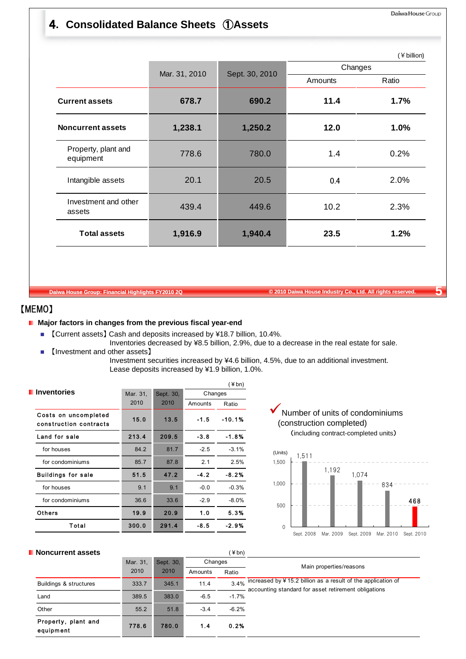## 4**. Consolidated Balance Sheets** ①**Assets**

|                                  |               |                |         | (¥ billion) |
|----------------------------------|---------------|----------------|---------|-------------|
|                                  | Mar. 31, 2010 | Sept. 30, 2010 | Changes |             |
|                                  |               |                | Amounts | Ratio       |
| <b>Current assets</b>            | 678.7         | 690.2          | 11.4    | 1.7%        |
| <b>Noncurrent assets</b>         | 1,238.1       | 1,250.2        | 12.0    | 1.0%        |
| Property, plant and<br>equipment | 778.6         | 780.0          | 1.4     | 0.2%        |
| Intangible assets                | 20.1          | 20.5           | 0.4     | 2.0%        |
| Investment and other<br>assets   | 439.4         | 449.6          | 10.2    | 2.3%        |
| <b>Total assets</b>              | 1,916.9       | 1,940.4        | 23.5    | 1.2%        |
|                                  |               |                |         |             |

**Daiwa House Group: Financial Highlights FY2010 2Q © 2010 Daiwa House Industry Co., Ltd. All rights reserved. 5**

### 【MEMO】

#### **Major factors in changes from the previous fiscal year-end**

- 【Current assets】 Cash and deposits increased by ¥18.7 billion, 10.4%.
- Inventories decreased by ¥8.5 billion, 2.9%, due to a decrease in the real estate for sale. 【Investment and other assets】

Investment securities increased by ¥4.6 billion, 4.5%, due to an additional investment. Lease deposits increased by ¥1.9 billion, 1.0%.

|                                                |          |           |         | (¥bn)    |
|------------------------------------------------|----------|-----------|---------|----------|
| <b>Inventories</b>                             | Mar. 31, | Sept. 30, | Changes |          |
|                                                | 2010     | 2010      | Amounts | Ratio    |
| Costs on uncompleted<br>construction contracts | 15.0     | 13.5      | $-1.5$  | $-10.1%$ |
| Land for sale                                  | 213.4    | 209.5     | $-3.8$  | $-1.8%$  |
| for houses                                     | 84.2     | 81.7      | $-2.5$  | $-3.1%$  |
| for condominiums                               | 85.7     | 87.8      | 2.1     | 2.5%     |
| <b>Buildings for sale</b>                      | 51.5     | 47.2      | $-4.2$  | $-8.2%$  |
| for houses                                     | 9.1      | 9.1       | $-0.0$  | $-0.3%$  |
| for condominiums                               | 36.6     | 33.6      | $-2.9$  | $-8.0\%$ |
| <b>Others</b>                                  | 19.9     | 20.9      | 1.0     | 5.3%     |
| Total                                          | 300.0    | 291.4     | $-8.5$  | $-2.9%$  |

Number of units of condominiums (construction completed) (including contract-completed units)



| <b>Noncurrent assets</b>         |          |           |         | (¥bn)   |                                                                                                                                            |
|----------------------------------|----------|-----------|---------|---------|--------------------------------------------------------------------------------------------------------------------------------------------|
|                                  | Mar. 31, | Sept. 30, | Changes |         |                                                                                                                                            |
|                                  | 2010     | 2010      | Amounts | Ratio   | Main properties/reasons                                                                                                                    |
| Buildings & structures           | 333.7    | 345.1     | 11.4    |         | $3.4\%$ increased by ¥ $\overline{15.2}$ billion as a result of the application of<br>accounting standard for asset retirement obligations |
| Land                             | 389.5    | 383.0     | $-6.5$  | $-1.7%$ |                                                                                                                                            |
| Other                            | 55.2     | 51.8      | $-3.4$  | $-6.2%$ |                                                                                                                                            |
| Property, plant and<br>equipment | 778.6    | 780.0     | 1.4     | 0.2%    |                                                                                                                                            |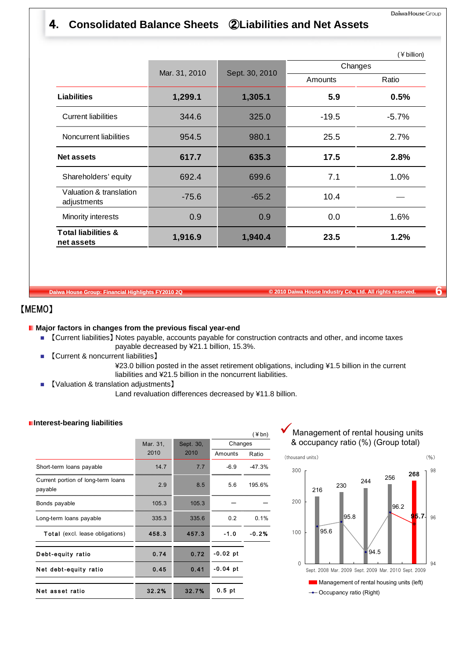## 4**. Consolidated Balance Sheets** ②**Liabilities and Net Assets**

|                                              |               |                |         | (¥ billion) |
|----------------------------------------------|---------------|----------------|---------|-------------|
|                                              | Mar. 31, 2010 | Sept. 30, 2010 |         | Changes     |
|                                              |               |                | Amounts | Ratio       |
| <b>Liabilities</b>                           | 1,299.1       | 1,305.1        | 5.9     | 0.5%        |
| <b>Current liabilities</b>                   | 344.6         | 325.0          | $-19.5$ | $-5.7%$     |
| Noncurrent liabilities                       | 954.5         | 980.1          | 25.5    | 2.7%        |
| <b>Net assets</b>                            | 617.7         | 635.3          | 17.5    | 2.8%        |
| Shareholders' equity                         | 692.4         | 699.6          | 7.1     | 1.0%        |
| Valuation & translation<br>adjustments       | $-75.6$       | $-65.2$        | 10.4    |             |
| Minority interests                           | 0.9           | 0.9            | 0.0     | 1.6%        |
| <b>Total liabilities &amp;</b><br>net assets | 1,916.9       | 1,940.4        | 23.5    | 1.2%        |

**Daiwa House Group: Financial Highlights FY2010 2Q © 2010 Daiwa House Industry Co., Ltd. All rights reserved. 6**

## 【MEMO】

### **Major factors in changes from the previous fiscal year-end**

- 【Current liabilities】 Notes payable, accounts payable for construction contracts and other, and income taxes payable decreased by ¥21.1 billion, 15.3%.
- 【Current & noncurrent liabilities】
	- ¥23.0 billion posted in the asset retirement obligations, including ¥1.5 billion in the current liabilities and ¥21.5 billion in the noncurrent liabilities.
- 【Valuation & translation adjustments】

Land revaluation differences decreased by ¥11.8 billion.

|                                               |          |           |            | $(*bn)$  |
|-----------------------------------------------|----------|-----------|------------|----------|
|                                               | Mar. 31, | Sept. 30, | Changes    |          |
|                                               | 2010     | 2010      | Amounts    | Ratio    |
| Short-term loans payable                      | 14.7     | 7.7       | $-6.9$     | $-47.3%$ |
| Current portion of long-term loans<br>payable | 2.9      | 8.5       | 5.6        | 195.6%   |
| Bonds payable                                 | 105.3    | 105.3     |            |          |
| Long-term loans payable                       | 335.3    | 335.6     | 0.2        | 0.1%     |
| <b>Total</b> (excl. lease obligations)        | 458.3    | 457.3     | $-1.0$     | $-0.2%$  |
| Debt-equity ratio                             | 0.74     | 0.72      | $-0.02$ pt |          |
| Net debt-equity ratio                         | 0.45     | 0.41      | -0.04 pt   |          |
| Net asset ratio                               | 32.2%    | 32.7%     | $0.5$ pt   |          |



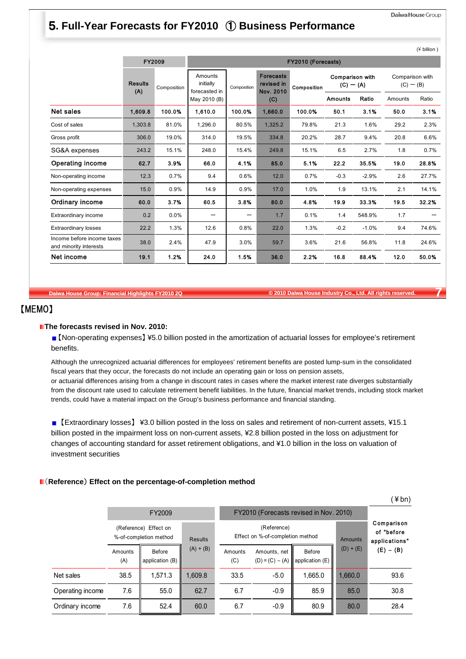## 5**. Full-Year Forecasts for FY2010** ① **Business Performance**

|                                                      |                       |             |                                       |             |                                             |                    |                                |         |                                | $(\tau$ billion $\tau$ |
|------------------------------------------------------|-----------------------|-------------|---------------------------------------|-------------|---------------------------------------------|--------------------|--------------------------------|---------|--------------------------------|------------------------|
|                                                      |                       | FY2009      |                                       |             |                                             | FY2010 (Forecasts) |                                |         |                                |                        |
|                                                      | <b>Results</b><br>(A) | Composition | Amounts<br>initially<br>forecasted in | Composition | <b>Forecasts</b><br>revised in<br>Nov. 2010 | Composition        | Comparison with<br>$(C) - (A)$ |         | Comparison with<br>$(C) - (B)$ |                        |
|                                                      |                       |             | May 2010 (B)                          |             | (C)                                         |                    | <b>Amounts</b>                 | Ratio   | Amounts                        | Ratio                  |
| <b>Net sales</b>                                     | 1,609.8               | 100.0%      | 1.610.0                               | 100.0%      | 1,660.0                                     | 100.0%             | 50.1                           | 3.1%    | 50.0                           | 3.1%                   |
| Cost of sales                                        | 1,303.8               | 81.0%       | 1,296.0                               | 80.5%       | 1,325.2                                     | 79.8%              | 21.3                           | 1.6%    | 29.2                           | 2.3%                   |
| Gross profit                                         | 306.0                 | 19.0%       | 314.0                                 | 19.5%       | 334.8                                       | 20.2%              | 28.7                           | 9.4%    | 20.8                           | 6.6%                   |
| SG&A expenses                                        | 243.2                 | 15.1%       | 248.0                                 | 15.4%       | 249.8                                       | 15.1%              | 6.5                            | 2.7%    | 1.8                            | 0.7%                   |
| <b>Operating income</b>                              | 62.7                  | 3.9%        | 66.0                                  | 4.1%        | 85.0                                        | 5.1%               | 22.2                           | 35.5%   | 19.0                           | 28.8%                  |
| Non-operating income                                 | 12.3                  | 0.7%        | 9.4                                   | 0.6%        | 12.0                                        | 0.7%               | $-0.3$                         | $-2.9%$ | 2.6                            | 27.7%                  |
| Non-operating expenses                               | 15.0                  | 0.9%        | 14.9                                  | 0.9%        | 17.0                                        | 1.0%               | 1.9                            | 13.1%   | 2.1                            | 14.1%                  |
| Ordinary income                                      | 60.0                  | 3.7%        | 60.5                                  | 3.8%        | 80.0                                        | 4.8%               | 19.9                           | 33.3%   | 19.5                           | 32.2%                  |
| Extraordinary income                                 | 0.2                   | 0.0%        |                                       | —           | 1.7                                         | 0.1%               | 1.4                            | 548.9%  | 1.7                            |                        |
| <b>Extraordinary losses</b>                          | 22.2                  | 1.3%        | 12.6                                  | 0.8%        | 22.0                                        | 1.3%               | $-0.2$                         | $-1.0%$ | 9.4                            | 74.6%                  |
| Income before income taxes<br>and minority interests | 38.0                  | 2.4%        | 47.9                                  | 3.0%        | 59.7                                        | 3.6%               | 21.6                           | 56.8%   | 11.8                           | 24.6%                  |
| Net income                                           | 19.1                  | 1.2%        | 24.0                                  | 1.5%        | 36.0                                        | 2.2%               | 16.8                           | 88.4%   | 12.0                           | 50.0%                  |

**Daiwa House Group: Financial Highlights FY2010 2Q © 2010 Daiwa House Industry Co., Ltd. All rights reserved. 7**

### 【MEMO】

#### **The forecasts revised in Nov. 2010:**

【Non-operating expenses】 ¥5.0 billion posted in the amortization of actuarial losses for employee's retirement benefits.

Although the unrecognized actuarial differences for employees' retirement benefits are posted lump-sum in the consolidated fiscal years that they occur, the forecasts do not include an operating gain or loss on pension assets, or actuarial differences arising from a change in discount rates in cases where the market interest rate diverges substantially from the discount rate used to calculate retirement benefit liabilities. In the future, financial market trends, including stock market trends, could have a material impact on the Group's business performance and financial standing.

■ 【Extraordinary losses】 ¥3.0 billion posted in the loss on sales and retirement of non-current assets, ¥15.1 billion posted in the impairment loss on non-current assets, ¥2.8 billion posted in the loss on adjustment for changes of accounting standard for asset retirement obligations, and ¥1.0 billion in the loss on valuation of investment securities

#### (**Reference**) **Effect on the percentage-of-completion method**

|                  |                |                                                 |                |                |                                                 |                           |                                           | ¥bn)        |  |  |
|------------------|----------------|-------------------------------------------------|----------------|----------------|-------------------------------------------------|---------------------------|-------------------------------------------|-------------|--|--|
|                  |                | FY2009                                          |                |                | FY2010 (Forecasts revised in Nov. 2010)         |                           |                                           |             |  |  |
|                  |                | (Reference) Effect on<br>%-of-completion method | <b>Results</b> |                | (Reference)<br>Effect on %-of-completion method | Amounts                   | Comparison<br>of "before<br>applications" |             |  |  |
|                  | Amounts<br>(A) | Before<br>application (B)                       | $(A) + (B)$    | Amounts<br>(C) | Amounts, net<br>$(D) = (C) - (A)$               | Before<br>application (E) | $(D) + (E)$                               | $(E) - (B)$ |  |  |
| Net sales        | 38.5           | .571.3                                          | 1.609.8        | 33.5           | $-5.0$                                          | 1.665.0                   | 1,660.0                                   | 93.6        |  |  |
| Operating income | 7.6<br>55.0    |                                                 | 62.7           | 6.7            | $-0.9$                                          | 85.9                      | 85.0                                      | 30.8        |  |  |
| Ordinary income  | 7.6            | 52.4                                            | 60.0           | 6.7            | $-0.9$                                          | 80.9                      | 80.0                                      | 28.4        |  |  |

 $(\nparallel$  hillion)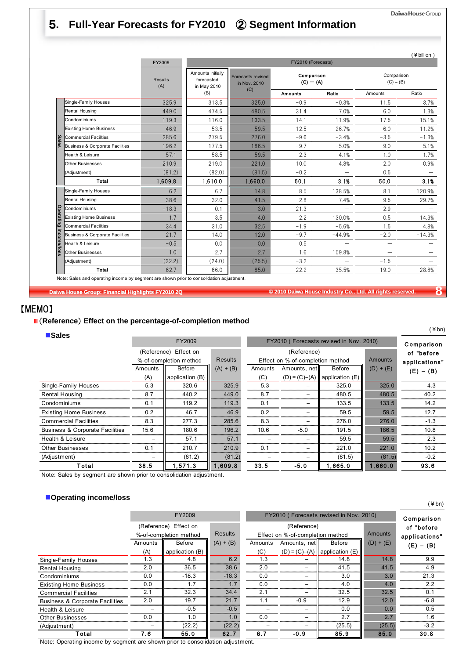#### Daiwa House Group

## 5**. Full-Year Forecasts for FY2010** ② **Segment Information**

|                       |                                            | FY2009                |                                                |                                   | FY2010 (Forecasts)        |                          |                           |          |
|-----------------------|--------------------------------------------|-----------------------|------------------------------------------------|-----------------------------------|---------------------------|--------------------------|---------------------------|----------|
|                       |                                            | <b>Results</b><br>(A) | Amounts initially<br>forecasted<br>in May 2010 | Forecasts revised<br>in Nov. 2010 | Comparison<br>$(C) - (A)$ |                          | Comparison<br>$(C) - (B)$ |          |
|                       |                                            |                       | (B)                                            | (C)                               | <b>Amounts</b>            | Ratio                    | Amounts                   | Ratio    |
|                       | Single-Family Houses                       | 325.9                 | 313.5                                          | 325.0                             | $-0.9$                    | $-0.3%$                  | 11.5                      | 3.7%     |
|                       | Rental Housing                             | 449.0                 | 474.5                                          | 480.5                             | 31.4                      | 7.0%                     | 6.0                       | 1.3%     |
|                       | Condominiums                               | 119.3                 | 116.0                                          | 133.5                             | 14.1                      | 11.9%                    | 17.5                      | 15.1%    |
|                       | <b>Existing Home Business</b>              | 46.9                  | 53.5                                           | 59.5                              | 12.5                      | 26.7%                    | 6.0                       | 11.2%    |
| Sales                 | <b>Commercial Facilities</b>               | 285.6                 | 279.5                                          | 276.0                             | $-9.6$                    | $-3.4%$                  | $-3.5$                    | $-1.3%$  |
|                       | <b>Business &amp; Corporate Facilities</b> | 196.2                 | 177.5                                          | 186.5                             | $-9.7$                    | $-5.0%$                  | 9.0                       | 5.1%     |
|                       | Health & Leisure                           | 57.1                  | 58.5                                           | 59.5                              | 2.3                       | 4.1%                     | 1.0                       | 1.7%     |
|                       | <b>Other Businesses</b>                    | 210.9                 | 219.0                                          | 221.0                             | 10.0                      | 4.8%                     | 2.0                       | 0.9%     |
|                       | (Adjustment)                               | (81.2)                | (82.0)                                         | (81.5)                            | $-0.2$                    |                          | 0.5                       |          |
|                       | Total                                      | 1,609.8               | 1,610.0                                        | 1,660.0                           | 50.1                      | 3.1%                     | 50.0                      | 3.1%     |
|                       | Single-Family Houses                       | 6.2                   | 6.7                                            | 14.8                              | 8.5                       | 138.5%                   | 8.1                       | 20.9%    |
|                       | Rental Housing                             | 38.6                  | 32.0                                           | 41.5                              | 2.8                       | 7.4%                     | 9.5                       | 29.7%    |
|                       | Condominiums                               | $-18.3$               | 0.1                                            | 3.0                               | 21.3                      | $\overline{\phantom{0}}$ | 2.9                       |          |
|                       | <b>Existing Home Business</b>              | 1.7                   | 3.5                                            | 4.0                               | 2.2                       | 130.0%                   | 0.5                       | 14.3%    |
|                       | <b>Commercial Facilities</b>               | 34.4                  | 31.0                                           | 32.5                              | $-1.9$                    | $-5.6%$                  | 1.5                       | 4.8%     |
| Operating income/loss | <b>Business &amp; Corporate Facilities</b> | 21.7                  | 14.0                                           | 12.0                              | $-9.7$                    | $-44.9%$                 | $-2.0$                    | $-14.3%$ |
|                       | Health & Leisure                           | $-0.5$                | 0.0                                            | 0.0                               | 0.5                       | $\overline{\phantom{0}}$ | $\equiv$                  |          |
|                       | <b>Other Businesses</b>                    | 1.0                   | 2.7                                            | 2.7                               | 1.6                       | 159.8%                   |                           |          |
|                       | (Adjustment)                               | (22.2)                | (24.0)                                         | (25.5)                            | $-3.2$                    |                          | $-1.5$                    |          |
|                       | Total                                      | 62.7                  | 66.0                                           | 85.0                              | 22.2                      | 35.5%                    | 19.0                      | 28.8%    |

**Daiwa House Group: Financial Highlights FY2010 2Q © 2010 Daiwa House Industry Co., Ltd. All rights reserved. 8**

## 【MEMO】

#### (**Reference**) **Effect on the percentage-of-completion method**

#### **Sales**

| $-0 are$                                   |              | FY2009                 |                | FY2010 (Forecasts revised in Nov. 2010) | Comparison                       |                                     |             |               |
|--------------------------------------------|--------------|------------------------|----------------|-----------------------------------------|----------------------------------|-------------------------------------|-------------|---------------|
|                                            |              | (Reference) Effect on  |                |                                         | (Reference)                      |                                     |             | of "before    |
|                                            |              | %-of-completion method | <b>Results</b> |                                         | Effect on %-of-completion method |                                     | Amounts     | applications" |
|                                            | Amounts      | Before                 | $(A) + (B)$    | Amounts                                 | Amounts, net                     | Before                              | $(D) + (E)$ | $(E) - (B)$   |
|                                            | (A)          | application (B)        |                |                                         |                                  | $(D) = (C) - (A)$ application $(E)$ |             |               |
| Single-Family Houses                       | 5.3          | 320.6                  | 325.9          | 5.3                                     |                                  | 325.0                               | 325.0       | 4.3           |
| Rental Housing                             | 8.7          | 440.2                  | 449.0          | 8.7                                     |                                  | 480.5                               | 480.5       | 40.2          |
| Condominiums                               | 0.1          | 119.2                  |                | 0.1                                     | -                                | 133.5                               | 133.5       | 14.2          |
| <b>Existing Home Business</b>              | 0.2          | 46.7                   | 46.9           | 0.2                                     |                                  | 59.5                                | 59.5        | 12.7          |
| <b>Commercial Facilities</b>               | 8.3          | 277.3                  | 285.6          | 8.3                                     |                                  | 276.0                               | 276.0       | $-1.3$        |
| <b>Business &amp; Corporate Facilities</b> | 15.6         | 180.6                  | 196.2          | 10.6                                    | $-5.0$                           | 191.5                               | 186.5       | 10.8          |
| Health & Leisure                           | 57.1         |                        | 57.1           |                                         |                                  | 59.5                                | 59.5        | 2.3           |
| <b>Other Businesses</b>                    | 210.7<br>0.1 |                        | 210.9          | 0.1                                     |                                  | 221.0                               | 221.0       | 10.2          |
| (Adjustment)                               | (81.2)       |                        | (81.2)         |                                         |                                  | (81.5)                              | (81.5)      | $-0.2$        |
| Total                                      | 38.5         | 1,571.3                | 1,609.8        | 33.5                                    | $-5.0$                           | 1,665.0                             | 1,660.0     | 93.6          |

Note: Sales by segment are shown prior to consolidation adjustment.

#### **Operating income/loss**

|                                            |         | FY2009                 |                |         | FY2010 (Forecasts revised in Nov. 2010) |                                     |                |                          |  |  |
|--------------------------------------------|---------|------------------------|----------------|---------|-----------------------------------------|-------------------------------------|----------------|--------------------------|--|--|
|                                            |         | (Reference) Effect on  |                |         | (Reference)                             |                                     |                | Comparison<br>of "before |  |  |
|                                            |         | %-of-completion method | <b>Results</b> |         | Effect on %-of-completion method        |                                     | <b>Amounts</b> | applications"            |  |  |
|                                            | Amounts | Before                 | $(A) + (B)$    | Amounts | Amounts, net                            | Before                              | $(D) + (E)$    | $(E) - (B)$              |  |  |
|                                            | (A)     | application (B)        |                | (C)     |                                         | $(D) = (C) - (A)$ application $(E)$ |                |                          |  |  |
| Single-Family Houses                       | 1.3     | 4.8                    | 6.2            | 1.3     |                                         | 14.8                                | 14.8           | 9.9                      |  |  |
| Rental Housing                             | 2.0     | 36.5                   | 38.6           | 2.0     |                                         | 41.5                                | 41.5           | 4.9                      |  |  |
| Condominiums                               | 0.0     | $-18.3$                | $-18.3$        | 0.0     | -                                       | 3.0                                 | 3.0            | 21.3                     |  |  |
| <b>Existing Home Business</b>              | 0.0     | 1.7                    | 1.7            | 0.0     | -                                       | 4.0                                 | 4.0            | 2.2                      |  |  |
| <b>Commercial Facilities</b>               | 2.1     | 32.3                   | 34.4           | 2.1     |                                         | 32.5                                | 32.5           | 0.1                      |  |  |
| <b>Business &amp; Corporate Facilities</b> | 2.0     | 19.7                   | 21.7           | 1.1     | $-0.9$                                  | 12.9                                | 12.0           | $-6.8$                   |  |  |
| Health & Leisure                           |         | $-0.5$                 | $-0.5$         |         |                                         | 0.0                                 | 0.0            | 0.5                      |  |  |
| <b>Other Businesses</b>                    | 0.0     | 1.0                    | 1.0            | 0.0     | -                                       | 2.7                                 | 2.7            | 1.6                      |  |  |
| (Adjustment)                               |         | (22.2)<br>(22.2)       |                |         |                                         | (25.5)                              | (25.5)         | $-3.2$                   |  |  |
| Total                                      | 7.6     | 55.0                   | 62.7           | 6.7     | $-0.9$                                  | 85.9                                | 85.0           | 30.8                     |  |  |

Note: Operating income by segment are shown prior to consolidation adjustment.

 $($  ¥ bn)

(¥bn)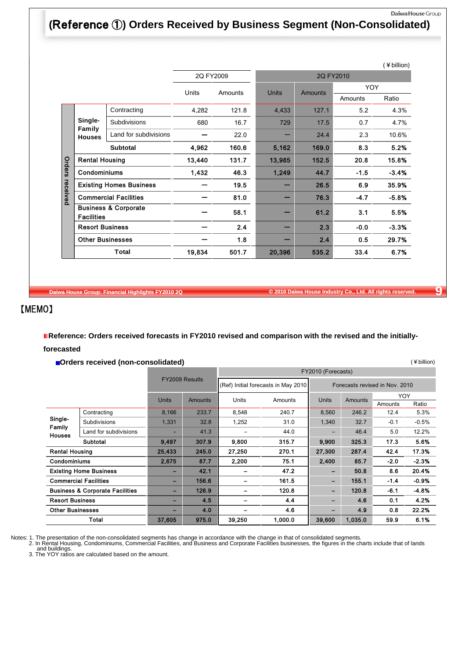#### Daiwa House Group

(¥billion)

## **(**Reference ①**) Orders Received by Business Segment (Non-Consolidated)**

|          |                         |                                 |           |         |              |                |            | (¥ billion) |
|----------|-------------------------|---------------------------------|-----------|---------|--------------|----------------|------------|-------------|
|          |                         |                                 | 2Q FY2009 |         |              |                | 2Q FY2010  |             |
|          |                         |                                 | Units     |         | <b>Units</b> |                | <b>YOY</b> |             |
|          |                         |                                 |           | Amounts |              | <b>Amounts</b> | Amounts    | Ratio       |
|          |                         | Contracting                     | 4,282     | 121.8   | 4,433        | 127.1          | 5.2        | 4.3%        |
|          | Single-                 | Subdivisions                    | 680       | 16.7    | 729          | 17.5           | 0.7        | 4.7%        |
|          | Family<br><b>Houses</b> | Land for subdivisions           |           | 22.0    |              | 24.4           | 2.3        | 10.6%       |
|          |                         | <b>Subtotal</b>                 | 4,962     | 160.6   | 5,162        | 169.0          | 8.3        | 5.2%        |
|          | <b>Rental Housing</b>   |                                 | 13,440    | 131.7   | 13,985       | 152.5          | 20.8       | 15.8%       |
| Orders   | Condominiums            |                                 | 1,432     | 46.3    | 1,249        | 44.7           | $-1.5$     | $-3.4%$     |
|          |                         | <b>Existing Homes Business</b>  |           | 19.5    |              | 26.5           | 6.9        | 35.9%       |
| received |                         | <b>Commercial Facilities</b>    |           | 81.0    |              | 76.3           | $-4.7$     | $-5.8%$     |
|          | <b>Facilities</b>       | <b>Business &amp; Corporate</b> |           | 58.1    |              | 61.2           | 3.1        | 5.5%        |
|          | <b>Resort Business</b>  |                                 |           | 2.4     |              | 2.3            | $-0.0$     | $-3.3%$     |
|          |                         | <b>Other Businesses</b>         |           | 1.8     |              | 2.4            | 0.5        | 29.7%       |
|          |                         | Total                           | 19,834    | 501.7   | 20,396       | 535.2          | 33.4       | 6.7%        |

**Daiwa House Group: Financial Highlights FY2010 2Q © 2010 Daiwa House Industry Co., Ltd. All rights reserved. 9**

## 【MEMO】

**Reference: Orders received forecasts in FY2010 revised and comparison with the revised and the initiallyforecasted**

**Orders received (non-consolidated)**

|                                    |                                            |                          |                | FY2010 (Forecasts) |                                     |              |         |                                |         |  |  |
|------------------------------------|--------------------------------------------|--------------------------|----------------|--------------------|-------------------------------------|--------------|---------|--------------------------------|---------|--|--|
|                                    |                                            |                          | FY2009 Resutls |                    | (Ref) Initial forecasts in May 2010 |              |         | Forecasts revised in Nov. 2010 |         |  |  |
|                                    |                                            | <b>Units</b>             | <b>Amounts</b> | Units<br>Amounts   |                                     | <b>Units</b> | Amounts | YOY                            |         |  |  |
|                                    |                                            |                          |                |                    |                                     |              |         | Amounts                        | Ratio   |  |  |
|                                    | Contracting                                | 8,166                    | 233.7          | 8,548              | 240.7                               | 8,560        | 246.2   | 12.4                           | 5.3%    |  |  |
| Single-<br>Family<br><b>Houses</b> | Subdivisions                               | 1,331                    | 32.8           | 1,252              | 31.0                                | 1,340        | 32.7    | $-0.1$                         | $-0.5%$ |  |  |
|                                    | Land for subdivisions                      |                          | 41.3           |                    | 44.0                                |              | 46.4    | 5.0                            | 12.2%   |  |  |
|                                    | <b>Subtotal</b>                            | 9,497                    | 307.9          | 9,800              | 315.7                               | 9,900        | 325.3   | 17.3                           | 5.6%    |  |  |
| <b>Rental Housing</b>              |                                            | 25,433                   | 245.0          | 27,250             | 270.1                               | 27,300       | 287.4   | 42.4                           | 17.3%   |  |  |
| Condominiums                       |                                            | 2,675                    | 87.7           | 2,200              | 75.1                                | 2,400        | 85.7    | $-2.0$                         | $-2.3%$ |  |  |
|                                    | <b>Existing Home Business</b>              | -                        | 42.1           |                    | 47.2                                |              | 50.8    | 8.6                            | 20.4%   |  |  |
|                                    | <b>Commercial Facilities</b>               | $\overline{\phantom{a}}$ | 156.6          |                    | 161.5                               | -            | 155.1   | $-1.4$                         | $-0.9%$ |  |  |
|                                    | <b>Business &amp; Corporate Facilities</b> | -                        | 126.9          |                    | 120.8                               | -            | 120.8   | $-6.1$                         | $-4.8%$ |  |  |
| <b>Resort Business</b>             |                                            |                          | 4.5            |                    | 4.4                                 |              | 4.6     | 0.1                            | 4.2%    |  |  |
| <b>Other Businesses</b>            |                                            | -                        | 4.0            |                    | 4.6                                 |              | 4.9     | 0.8                            | 22.2%   |  |  |
|                                    | Total                                      | 37,605                   | 975.0          | 39.250             | 1,000.0                             | 39.600       | 1.035.0 | 59.9                           | 6.1%    |  |  |

Notes: 1. The presentation of the non-consolidated segments has change in accordance with the change in that of consolidated segments.<br>2. In Rental Housing, Condominiums, Commercial Facilities, and Business and Corporate F

and buildings. 3. The YOY ratios are calculated based on the amount.